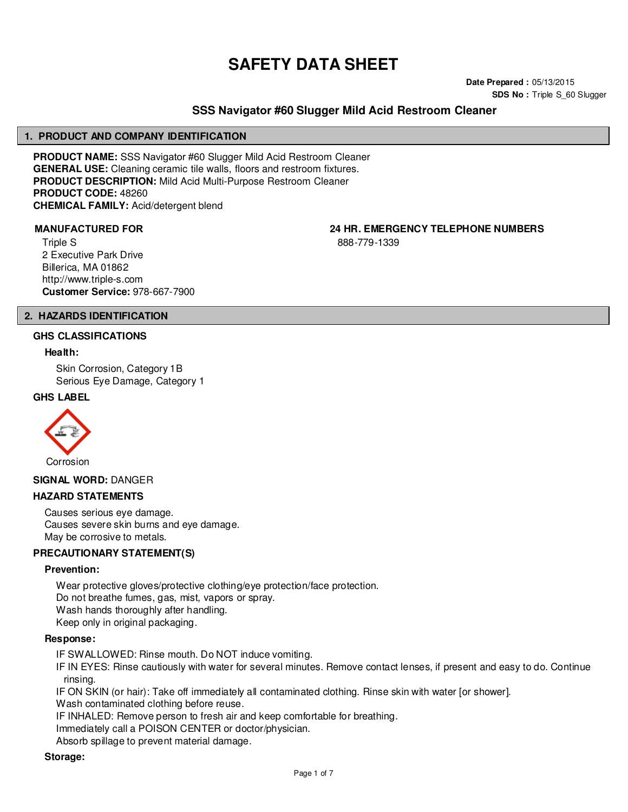# **SAFETY DATA SHEET**

**Date Prepared :** 05/13/2015 **SDS No :** Triple S\_60 Slugger

# **SSS Navigator #60 Slugger Mild Acid Restroom Cleaner**

#### **1. PRODUCT AND COMPANY IDENTIFICATION**

**PRODUCT NAME:** SSS Navigator #60 Slugger Mild Acid Restroom Cleaner **GENERAL USE:** Cleaning ceramic tile walls, floors and restroom fixtures. **PRODUCT DESCRIPTION:** Mild Acid Multi-Purpose Restroom Cleaner **PRODUCT CODE:** 48260 **CHEMICAL FAMILY:** Acid/detergent blend

Triple S 2 Executive Park Drive Billerica, MA 01862 http://www.triple-s.com **Customer Service:** 978-667-7900

**MANUFACTURED FOR 24 HR. EMERGENCY TELEPHONE NUMBERS**

888-779-1339

#### **2. HAZARDS IDENTIFICATION**

#### **GHS CLASSIFICATIONS**

#### **Health:**

Skin Corrosion, Category 1B Serious Eye Damage, Category 1

#### **GHS LABEL**



**SIGNAL WORD:** DANGER

#### **HAZARD STATEMENTS**

Causes serious eye damage. Causes severe skin burns and eye damage. May be corrosive to metals.

# **PRECAUTIONARY STATEMENT(S)**

#### **Prevention:**

Wear protective gloves/protective clothing/eye protection/face protection. Do not breathe fumes, gas, mist, vapors or spray. Wash hands thoroughly after handling. Keep only in original packaging.

#### **Response:**

IF SWALLOWED: Rinse mouth. Do NOT induce vomiting.

IF IN EYES: Rinse cautiously with water for several minutes. Remove contact lenses, if present and easy to do. Continue rinsing.

IF ON SKIN (or hair): Take off immediately all contaminated clothing. Rinse skin with water [or shower].

Wash contaminated clothing before reuse.

IF INHALED: Remove person to fresh air and keep comfortable for breathing.

Immediately call a POISON CENTER or doctor/physician.

Absorb spillage to prevent material damage.

#### **Storage:**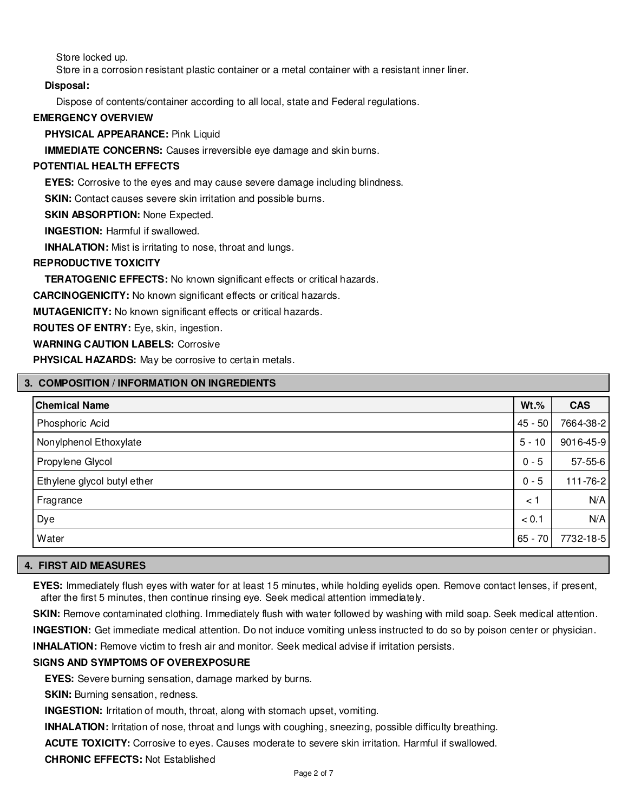Store locked up.

Store in a corrosion resistant plastic container or a metal container with a resistant inner liner.

#### **Disposal:**

Dispose of contents/container according to all local, state and Federal regulations.

#### **EMERGENCY OVERVIEW**

**PHYSICAL APPEARANCE:** Pink Liquid

**IMMEDIATE CONCERNS:** Causes irreversible eye damage and skin burns.

#### **POTENTIAL HEALTH EFFECTS**

**EYES:** Corrosive to the eyes and may cause severe damage including blindness.

**SKIN:** Contact causes severe skin irritation and possible burns.

**SKIN ABSORPTION: None Expected.** 

**INGESTION:** Harmful if swallowed.

**INHALATION:** Mist is irritating to nose, throat and lungs.

#### **REPRODUCTIVE TOXICITY**

**TERATOGENIC EFFECTS:** No known significant effects or critical hazards.

**CARCINOGENICITY:** No known significant effects or critical hazards.

**MUTAGENICITY:** No known significant effects or critical hazards.

**ROUTES OF ENTRY:** Eye, skin, ingestion.

**WARNING CAUTION LABELS:** Corrosive

**PHYSICAL HAZARDS:** May be corrosive to certain metals.

#### **3. COMPOSITION / INFORMATION ON INGREDIENTS**

| <b>Chemical Name</b>        | $Wt.\%$   | <b>CAS</b>    |
|-----------------------------|-----------|---------------|
| Phosphoric Acid             | $45 - 50$ | 7664-38-2     |
| Nonylphenol Ethoxylate      | $5 - 10$  | 9016-45-9     |
| Propylene Glycol            | $0 - 5$   | $57 - 55 - 6$ |
| Ethylene glycol butyl ether | $0 - 5$   | 111-76-2      |
| Fragrance                   | < 1       | N/A           |
| Dye                         | < 0.1     | N/A           |
| Water                       | $65 - 70$ | 7732-18-5     |

#### **4. FIRST AID MEASURES**

**EYES:** Immediately flush eyes with water for at least 15 minutes, while holding eyelids open. Remove contact lenses, if present, after the first 5 minutes, then continue rinsing eye. Seek medical attention immediately.

**SKIN:** Remove contaminated clothing. Immediately flush with water followed by washing with mild soap. Seek medical attention.

**INGESTION:** Get immediate medical attention. Do not induce vomiting unless instructed to do so by poison center or physician.

**INHALATION:** Remove victim to fresh air and monitor. Seek medical advise if irritation persists.

#### **SIGNS AND SYMPTOMS OF OVEREXPOSURE**

**EYES:** Severe burning sensation, damage marked by burns.

**SKIN:** Burning sensation, redness.

**INGESTION:** Irritation of mouth, throat, along with stomach upset, vomiting.

**INHALATION:** Irritation of nose, throat and lungs with coughing, sneezing, possible difficulty breathing.

**ACUTE TOXICITY:** Corrosive to eyes. Causes moderate to severe skin irritation. Harmful if swallowed.

**CHRONIC EFFECTS:** Not Established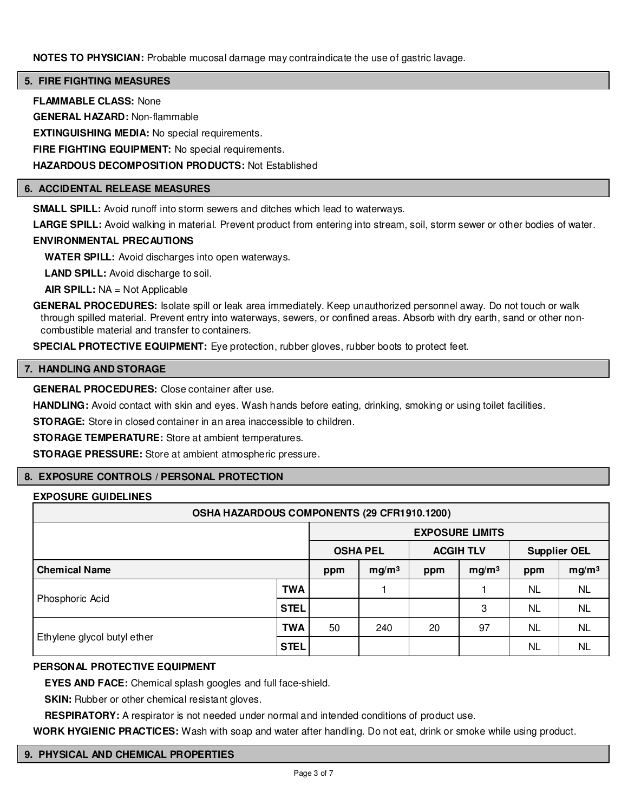**NOTES TO PHYSICIAN:** Probable mucosal damage may contraindicate the use of gastric lavage.

#### **5. FIRE FIGHTING MEASURES**

**FLAMMABLE CLASS:** None

**GENERAL HAZARD:** Non-flammable

**EXTINGUISHING MEDIA:** No special requirements.

**FIRE FIGHTING EQUIPMENT:** No special requirements.

**HAZARDOUS DECOMPOSITION PRODUCTS:** Not Established

#### **6. ACCIDENTAL RELEASE MEASURES**

**SMALL SPILL:** Avoid runoff into storm sewers and ditches which lead to waterways.

**LARGE SPILL:** Avoid walking in material. Prevent product from entering into stream, soil, storm sewer or other bodies of water.

#### **ENVIRONMENTAL PRECAUTIONS**

**WATER SPILL:** Avoid discharges into open waterways.

**LAND SPILL:** Avoid discharge to soil.

**AIR SPILL:** NA = Not Applicable

**GENERAL PROCEDURES:** Isolate spill or leak area immediately. Keep unauthorized personnel away. Do not touch or walk through spilled material. Prevent entry into waterways, sewers, or confined areas. Absorb with dry earth, sand or other noncombustible material and transfer to containers.

**SPECIAL PROTECTIVE EQUIPMENT:** Eye protection, rubber gloves, rubber boots to protect feet.

#### **7. HANDLING AND STORAGE**

**GENERAL PROCEDURES:** Close container after use.

**HANDLING:** Avoid contact with skin and eyes. Wash hands before eating, drinking, smoking or using toilet facilities.

**STORAGE:** Store in closed container in an area inaccessible to children.

**STORAGE TEMPERATURE:** Store at ambient temperatures.

**STORAGE PRESSURE:** Store at ambient atmospheric pressure.

# **8. EXPOSURE CONTROLS / PERSONAL PROTECTION**

# **EXPOSURE GUIDELINES**

| OSHA HAZARDOUS COMPONENTS (29 CFR1910.1200) |             |                        |                   |                  |                   |                     |                   |
|---------------------------------------------|-------------|------------------------|-------------------|------------------|-------------------|---------------------|-------------------|
|                                             |             | <b>EXPOSURE LIMITS</b> |                   |                  |                   |                     |                   |
|                                             |             | <b>OSHA PEL</b>        |                   | <b>ACGIH TLV</b> |                   | <b>Supplier OEL</b> |                   |
| <b>Chemical Name</b>                        |             | ppm                    | mg/m <sup>3</sup> | ppm              | mg/m <sup>3</sup> | ppm                 | mg/m <sup>3</sup> |
| Phosphoric Acid                             | <b>TWA</b>  |                        |                   |                  |                   | NL.                 | <b>NL</b>         |
|                                             | <b>STEL</b> |                        |                   |                  | 3                 | NL.                 | <b>NL</b>         |
| Ethylene glycol butyl ether                 | TWA         | 50                     | 240               | 20               | 97                | NL.                 | <b>NL</b>         |
|                                             | <b>STEL</b> |                        |                   |                  |                   | <b>NL</b>           | <b>NL</b>         |

#### **PERSONAL PROTECTIVE EQUIPMENT**

**EYES AND FACE:** Chemical splash googles and full face-shield.

**SKIN:** Rubber or other chemical resistant gloves.

**RESPIRATORY:** A respirator is not needed under normal and intended conditions of product use.

**WORK HYGIENIC PRACTICES:** Wash with soap and water after handling. Do not eat, drink or smoke while using product.

#### **9. PHYSICAL AND CHEMICAL PROPERTIES**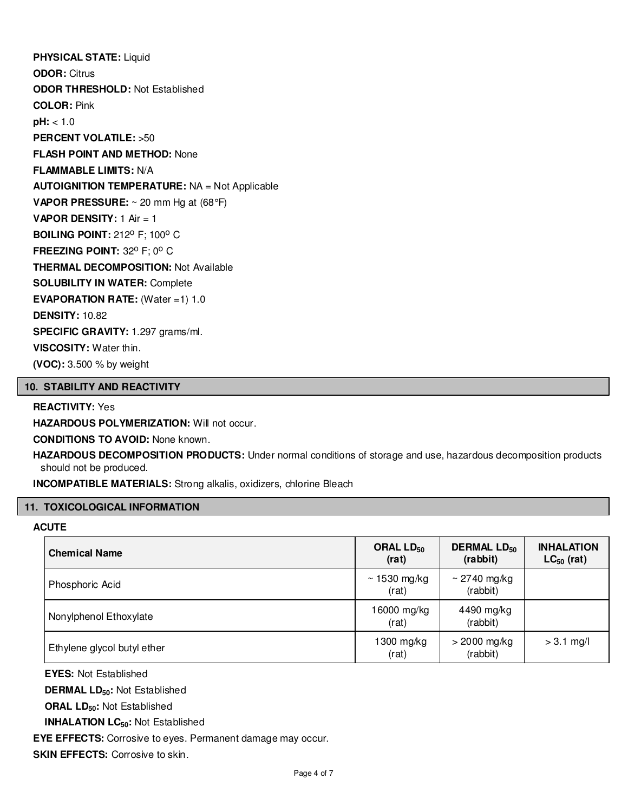**PHYSICAL STATE:** Liquid **ODOR:** Citrus **ODOR THRESHOLD:** Not Established **COLOR:** Pink **pH:** < 1.0 **PERCENT VOLATILE:** >50 **FLASH POINT AND METHOD:** None **FLAMMABLE LIMITS:** N/A **AUTOIGNITION TEMPERATURE:** NA = Not Applicable **VAPOR PRESSURE:** ~ 20 mm Hg at (68°F) **VAPOR DENSITY:** 1 Air = 1 **BOILING POINT: 212° F; 100° C FREEZING POINT: 32° F; 0° C THERMAL DECOMPOSITION:** Not Available **SOLUBILITY IN WATER:** Complete **EVAPORATION RATE:** (Water =1) 1.0 **DENSITY:** 10.82 **SPECIFIC GRAVITY:** 1.297 grams/ml. **VISCOSITY:** Water thin. **(VOC):** 3.500 % by weight

#### **10. STABILITY AND REACTIVITY**

# **REACTIVITY:** Yes

**HAZARDOUS POLYMERIZATION: Will not occur.** 

**CONDITIONS TO AVOID:** None known.

**HAZARDOUS DECOMPOSITION PRODUCTS:** Under normal conditions of storage and use, hazardous decomposition products should not be produced.

**INCOMPATIBLE MATERIALS:** Strong alkalis, oxidizers, chlorine Bleach

# **11. TOXICOLOGICAL INFORMATION**

#### **ACUTE**

| <b>Chemical Name</b>        | ORAL LD <sub>50</sub><br>(rat) | <b>DERMAL LD<sub>50</sub></b><br>(rabbit) | <b>INHALATION</b><br>$LC_{50}$ (rat) |
|-----------------------------|--------------------------------|-------------------------------------------|--------------------------------------|
| Phosphoric Acid             | $\sim$ 1530 mg/kg<br>(rat)     | $\sim$ 2740 mg/kg<br>(rabbit)             |                                      |
| Nonylphenol Ethoxylate      | 16000 mg/kg<br>(rat)           | 4490 mg/kg<br>(rabbit)                    |                                      |
| Ethylene glycol butyl ether | 1300 mg/kg<br>(rat)            | $>$ 2000 mg/kg<br>(rabbit)                | $> 3.1$ mg/l                         |

**EYES:** Not Established

**DERMAL LD50:** Not Established

**ORAL LD50:** Not Established

**INHALATION LC50:** Not Established

**EYE EFFECTS:** Corrosive to eyes. Permanent damage may occur.

**SKIN EFFECTS: Corrosive to skin.**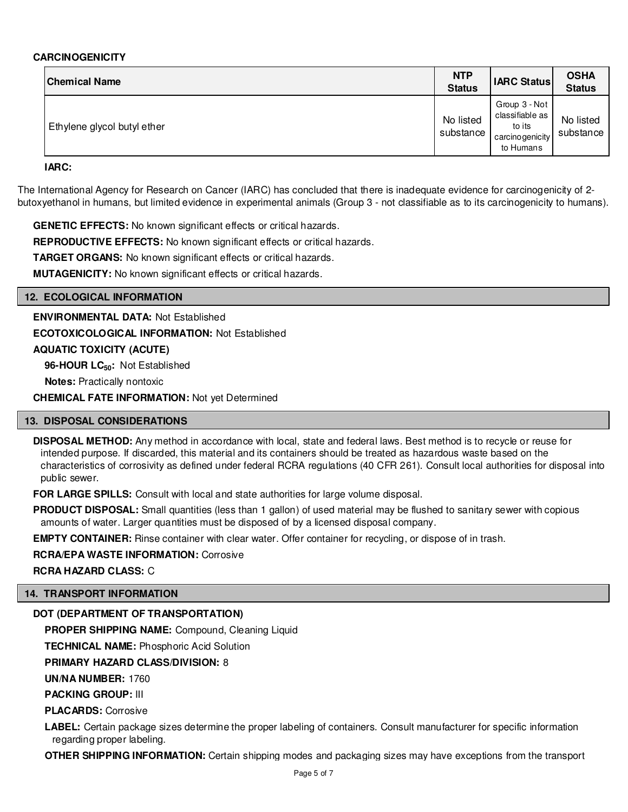#### **CARCINOGENICITY**

| <b>Chemical Name</b>        | <b>NTP</b><br><b>Status</b> | <b>IARC Status</b>                                                         | <b>OSHA</b><br><b>Status</b> |
|-----------------------------|-----------------------------|----------------------------------------------------------------------------|------------------------------|
| Ethylene glycol butyl ether | No listed<br>substance      | Group 3 - Not<br>classifiable as<br>to its<br>carcinogenicity<br>to Humans | No listed<br>substance       |

**IARC:**

The International Agency for Research on Cancer (IARC) has concluded that there is inadequate evidence for carcinogenicity of 2 butoxyethanol in humans, but limited evidence in experimental animals (Group 3 - not classifiable as to its carcinogenicity to humans).

**GENETIC EFFECTS:** No known significant effects or critical hazards.

**REPRODUCTIVE EFFECTS:** No known significant effects or critical hazards.

**TARGET ORGANS:** No known significant effects or critical hazards.

**MUTAGENICITY:** No known significant effects or critical hazards.

#### **12. ECOLOGICAL INFORMATION**

**ENVIRONMENTAL DATA:** Not Established **ECOTOXICOLOGICAL INFORMATION:** Not Established **AQUATIC TOXICITY (ACUTE)**

**96-HOUR LC50:** Not Established

**Notes:** Practically nontoxic

**CHEMICAL FATE INFORMATION:** Not yet Determined

# **13. DISPOSAL CONSIDERATIONS**

**DISPOSAL METHOD:** Any method in accordance with local, state and federal laws. Best method is to recycle or reuse for intended purpose. If discarded, this material and its containers should be treated as hazardous waste based on the characteristics of corrosivity as defined under federal RCRA regulations (40 CFR 261). Consult local authorities for disposal into public sewer.

**FOR LARGE SPILLS:** Consult with local and state authorities for large volume disposal.

**PRODUCT DISPOSAL:** Small quantities (less than 1 gallon) of used material may be flushed to sanitary sewer with copious amounts of water. Larger quantities must be disposed of by a licensed disposal company.

**EMPTY CONTAINER:** Rinse container with clear water. Offer container for recycling, or dispose of in trash.

**RCRA/EPA WASTE INFORMATION:** Corrosive

**RCRA HAZARD CLASS:** C

#### **14. TRANSPORT INFORMATION**

# **DOT (DEPARTMENT OF TRANSPORTATION)**

**PROPER SHIPPING NAME:** Compound, Cleaning Liquid

**TECHNICAL NAME:** Phosphoric Acid Solution

# **PRIMARY HAZARD CLASS/DIVISION:** 8

**UN/NA NUMBER:** 1760

**PACKING GROUP:** III

**PLACARDS:** Corrosive

**LABEL:** Certain package sizes determine the proper labeling of containers. Consult manufacturer for specific information regarding proper labeling.

**OTHER SHIPPING INFORMATION:** Certain shipping modes and packaging sizes may have exceptions from the transport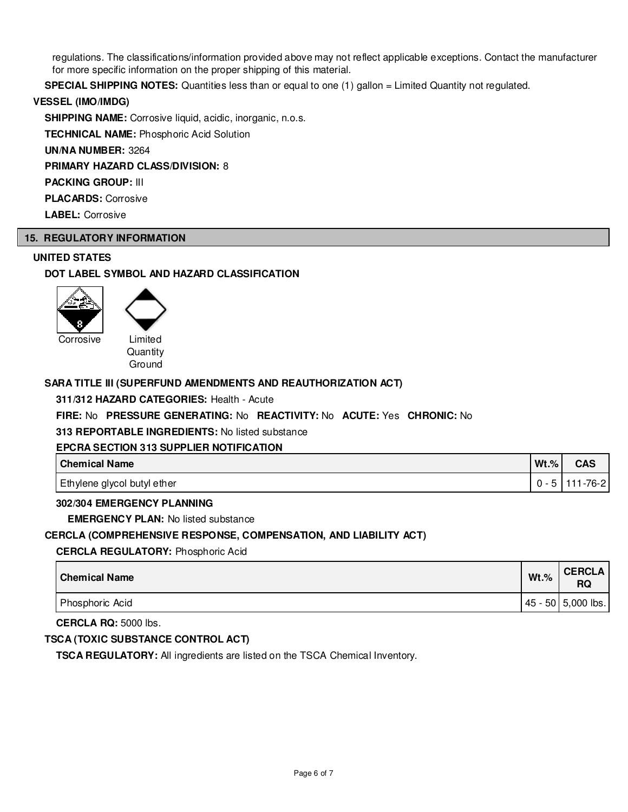regulations. The classifications/information provided above may not reflect applicable exceptions. Contact the manufacturer for more specific information on the proper shipping of this material.

**SPECIAL SHIPPING NOTES:** Quantities less than or equal to one (1) gallon = Limited Quantity not regulated.

#### **VESSEL (IMO/IMDG)**

**SHIPPING NAME:** Corrosive liquid, acidic, inorganic, n.o.s.

**TECHNICAL NAME:** Phosphoric Acid Solution

**UN/NA NUMBER:** 3264

**PRIMARY HAZARD CLASS/DIVISION:** 8

**PACKING GROUP:** III

**PLACARDS:** Corrosive

**LABEL:** Corrosive

# **15. REGULATORY INFORMATION**

#### **UNITED STATES**

# **DOT LABEL SYMBOL AND HAZARD CLASSIFICATION**



Corrosive Limited

**Quantity** Ground

### **SARA TITLE III (SUPERFUND AMENDMENTS AND REAUTHORIZATION ACT)**

#### **311/312 HAZARD CATEGORIES:** Health - Acute

#### **FIRE:** No **PRESSURE GENERATING:** No **REACTIVITY:** No **ACUTE:** Yes **CHRONIC:** No

**313 REPORTABLE INGREDIENTS:** No listed substance

#### **EPCRA SECTION 313 SUPPLIER NOTIFICATION**

| Chemical Name               | $Wt.\%$ | <b>CAS</b> |
|-----------------------------|---------|------------|
| Ethylene glycol butyl ether |         | 111-76-2   |

#### **302/304 EMERGENCY PLANNING**

**EMERGENCY PLAN:** No listed substance

#### **CERCLA (COMPREHENSIVE RESPONSE, COMPENSATION, AND LIABILITY ACT)**

**CERCLA REGULATORY:** Phosphoric Acid

| l Chemical Name | $Wt.\%$ | <b>CERCLA</b><br>RQ   |
|-----------------|---------|-----------------------|
| Phosphoric Acid |         | $ 45 - 50 5,000$ lbs. |

**CERCLA RQ:** 5000 lbs.

# **TSCA (TOXIC SUBSTANCE CONTROL ACT)**

**TSCA REGULATORY:** All ingredients are listed on the TSCA Chemical Inventory.